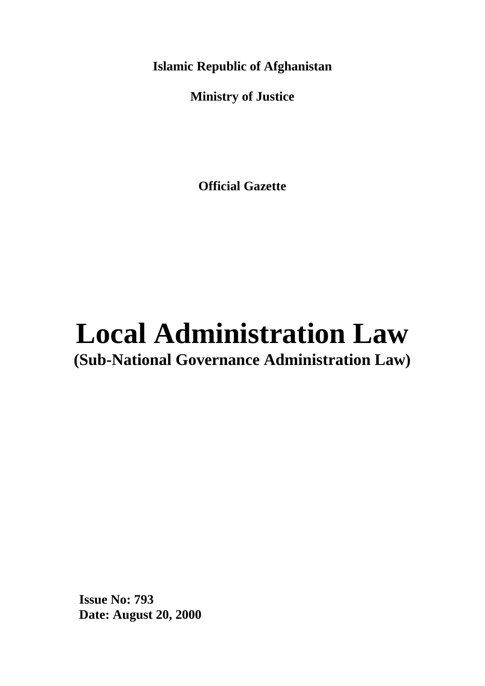**Islamic Republic of Afghanistan**

**Ministry of Justice**

**Official Gazette**

# **Local Administration Law (Sub-National Governance Administration Law)**

**Issue No: 793 Date: August 20, 2000**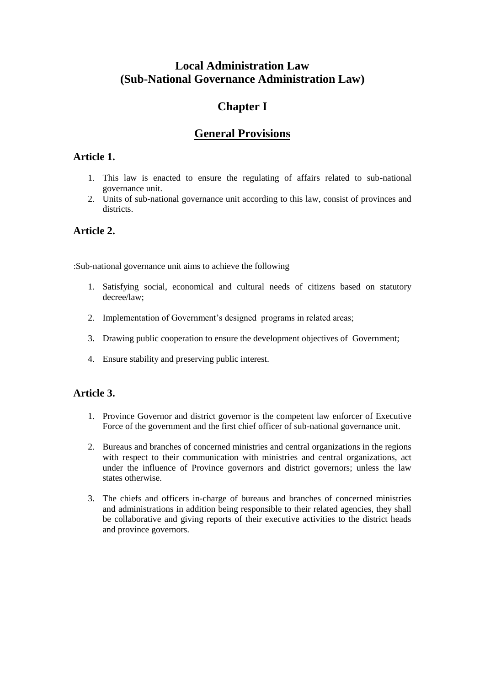# **Local Administration Law (Sub-National Governance Administration Law)**

# **Chapter I**

# **General Provisions**

## **Article 1.**

- 1. This law is enacted to ensure the regulating of affairs related to sub-national governance unit.
- 2. Units of sub-national governance unit according to this law, consist of provinces and districts.

## **Article 2.**

:Sub-national governance unit aims to achieve the following

- 1. Satisfying social, economical and cultural needs of citizens based on statutory decree/law;
- 2. Implementation of Government's designed programs in related areas;
- 3. Drawing public cooperation to ensure the development objectives of Government;
- 4. Ensure stability and preserving public interest.

## **Article 3.**

- 1. Province Governor and district governor is the competent law enforcer of Executive Force of the government and the first chief officer of sub-national governance unit.
- 2. Bureaus and branches of concerned ministries and central organizations in the regions with respect to their communication with ministries and central organizations, act under the influence of Province governors and district governors; unless the law states otherwise.
- 3. The chiefs and officers in-charge of bureaus and branches of concerned ministries and administrations in addition being responsible to their related agencies, they shall be collaborative and giving reports of their executive activities to the district heads and province governors.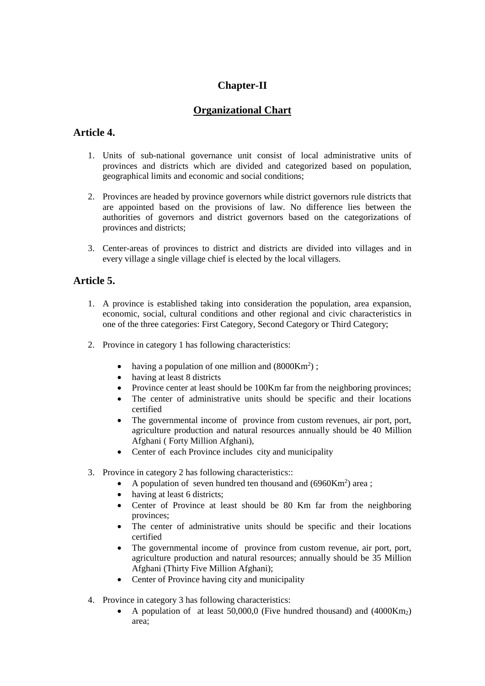## **Chapter-II**

## **Organizational Chart**

## **Article 4.**

- 1. Units of sub-national governance unit consist of local administrative units of provinces and districts which are divided and categorized based on population, geographical limits and economic and social conditions;
- 2. Provinces are headed by province governors while district governors rule districts that are appointed based on the provisions of law. No difference lies between the authorities of governors and district governors based on the categorizations of provinces and districts;
- 3. Center-areas of provinces to district and districts are divided into villages and in every village a single village chief is elected by the local villagers.

### **Article 5.**

- 1. A province is established taking into consideration the population, area expansion, economic, social, cultural conditions and other regional and civic characteristics in one of the three categories: First Category, Second Category or Third Category;
- 2. Province in category 1 has following characteristics:
	- having a population of one million and  $(8000 \text{Km}^2)$ ;
	- having at least 8 districts
	- Province center at least should be 100Km far from the neighboring provinces;
	- The center of administrative units should be specific and their locations certified
	- The governmental income of province from custom revenues, air port, port, agriculture production and natural resources annually should be 40 Million Afghani ( Forty Million Afghani),
	- Center of each Province includes city and municipality
- 3. Province in category 2 has following characteristics::
	- A population of seven hundred ten thousand and (6960Km<sup>2</sup>) area;
	- having at least 6 districts;
	- Center of Province at least should be 80 Km far from the neighboring provinces;
	- The center of administrative units should be specific and their locations certified
	- The governmental income of province from custom revenue, air port, port, agriculture production and natural resources; annually should be 35 Million Afghani (Thirty Five Million Afghani);
	- Center of Province having city and municipality
- 4. Province in category 3 has following characteristics:
	- A population of at least 50,000,0 (Five hundred thousand) and  $(4000 \text{Km}_2)$ area;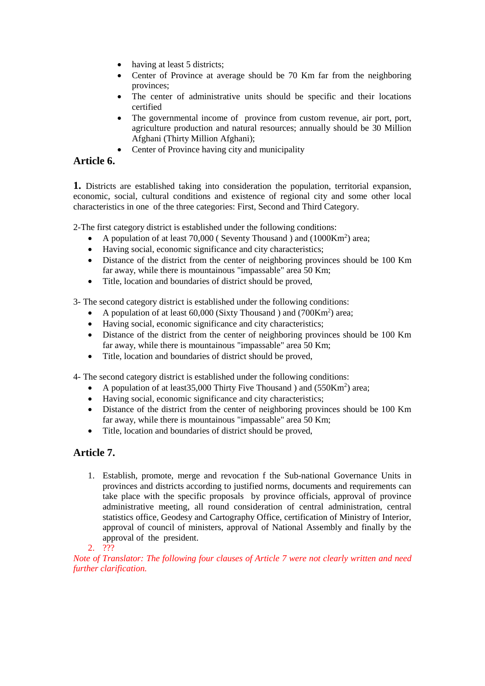- having at least 5 districts;
- Center of Province at average should be 70 Km far from the neighboring provinces;
- The center of administrative units should be specific and their locations certified
- The governmental income of province from custom revenue, air port, port, agriculture production and natural resources; annually should be 30 Million Afghani (Thirty Million Afghani);
- Center of Province having city and municipality

### **Article 6.**

**1.** Districts are established taking into consideration the population, territorial expansion, economic, social, cultural conditions and existence of regional city and some other local characteristics in one of the three categories: First, Second and Third Category.

2-The first category district is established under the following conditions:

- A population of at least 70,000 (Seventy Thousand ) and (1000Km<sup>2</sup>) area;
- Having social, economic significance and city characteristics;
- Distance of the district from the center of neighboring provinces should be 100 Km far away, while there is mountainous "impassable" area 50 Km;
- Title, location and boundaries of district should be proved,

3- The second category district is established under the following conditions:

- A population of at least  $60,000$  (Sixty Thousand ) and (700Km<sup>2</sup>) area;
- Having social, economic significance and city characteristics;
- Distance of the district from the center of neighboring provinces should be 100 Km far away, while there is mountainous "impassable" area 50 Km;
- Title, location and boundaries of district should be proved,

4- The second category district is established under the following conditions:

- A population of at least 35,000 Thirty Five Thousand ) and  $(550 \text{Km}^2)$  area;
- Having social, economic significance and city characteristics;
- Distance of the district from the center of neighboring provinces should be 100 Km far away, while there is mountainous "impassable" area 50 Km;
- Title, location and boundaries of district should be proved,

## **Article 7.**

- 1. Establish, promote, merge and revocation f the Sub-national Governance Units in provinces and districts according to justified norms, documents and requirements can take place with the specific proposals by province officials, approval of province administrative meeting, all round consideration of central administration, central statistics office, Geodesy and Cartography Office, certification of Ministry of Interior, approval of council of ministers, approval of National Assembly and finally by the approval of the president.
- 2. ???

*Note of Translator: The following four clauses of Article 7 were not clearly written and need further clarification.*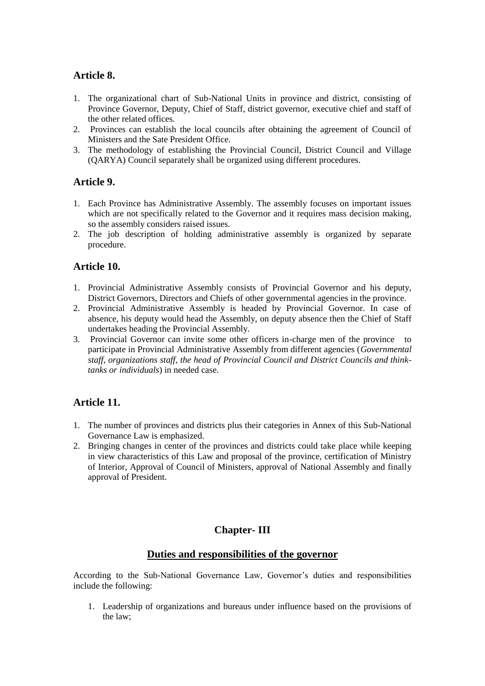#### **Article 8.**

- 1. The organizational chart of Sub-National Units in province and district, consisting of Province Governor, Deputy, Chief of Staff, district governor, executive chief and staff of the other related offices.
- 2. Provinces can establish the local councils after obtaining the agreement of Council of Ministers and the Sate President Office.
- 3. The methodology of establishing the Provincial Council, District Council and Village (QARYA) Council separately shall be organized using different procedures.

### **Article 9.**

- 1. Each Province has Administrative Assembly. The assembly focuses on important issues which are not specifically related to the Governor and it requires mass decision making, so the assembly considers raised issues.
- 2. The job description of holding administrative assembly is organized by separate procedure.

### **Article 10.**

- 1. Provincial Administrative Assembly consists of Provincial Governor and his deputy, District Governors, Directors and Chiefs of other governmental agencies in the province.
- 2. Provincial Administrative Assembly is headed by Provincial Governor. In case of absence, his deputy would head the Assembly, on deputy absence then the Chief of Staff undertakes heading the Provincial Assembly.
- 3. Provincial Governor can invite some other officers in-charge men of the province to participate in Provincial Administrative Assembly from different agencies (*Governmental staff, organizations staff, the head of Provincial Council and District Councils and thinktanks or individuals*) in needed case.

## **Article 11.**

- 1. The number of provinces and districts plus their categories in Annex of this Sub-National Governance Law is emphasized.
- 2. Bringing changes in center of the provinces and districts could take place while keeping in view characteristics of this Law and proposal of the province, certification of Ministry of Interior, Approval of Council of Ministers, approval of National Assembly and finally approval of President.

## **Chapter- III**

#### **Duties and responsibilities of the governor**

According to the Sub-National Governance Law, Governor's duties and responsibilities include the following:

1. Leadership of organizations and bureaus under influence based on the provisions of the law;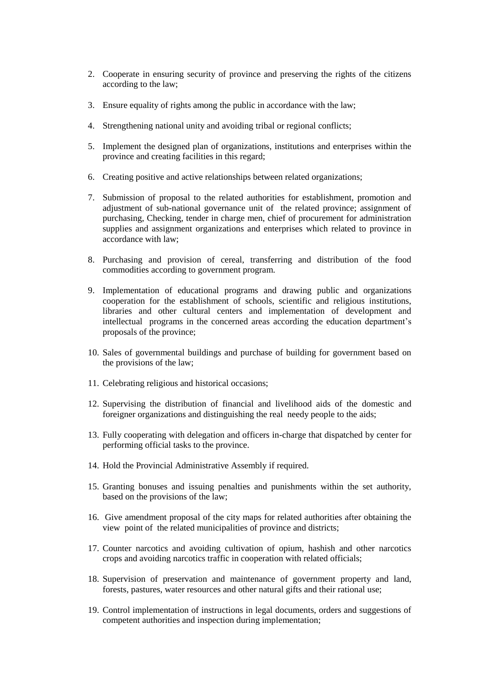- 2. Cooperate in ensuring security of province and preserving the rights of the citizens according to the law;
- 3. Ensure equality of rights among the public in accordance with the law;
- 4. Strengthening national unity and avoiding tribal or regional conflicts;
- 5. Implement the designed plan of organizations, institutions and enterprises within the province and creating facilities in this regard;
- 6. Creating positive and active relationships between related organizations;
- 7. Submission of proposal to the related authorities for establishment, promotion and adjustment of sub-national governance unit of the related province; assignment of purchasing, Checking, tender in charge men, chief of procurement for administration supplies and assignment organizations and enterprises which related to province in accordance with law;
- 8. Purchasing and provision of cereal, transferring and distribution of the food commodities according to government program.
- 9. Implementation of educational programs and drawing public and organizations cooperation for the establishment of schools, scientific and religious institutions, libraries and other cultural centers and implementation of development and intellectual programs in the concerned areas according the education department's proposals of the province;
- 10. Sales of governmental buildings and purchase of building for government based on the provisions of the law;
- 11. Celebrating religious and historical occasions;
- 12. Supervising the distribution of financial and livelihood aids of the domestic and foreigner organizations and distinguishing the real needy people to the aids;
- 13. Fully cooperating with delegation and officers in-charge that dispatched by center for performing official tasks to the province.
- 14. Hold the Provincial Administrative Assembly if required.
- 15. Granting bonuses and issuing penalties and punishments within the set authority, based on the provisions of the law;
- 16. Give amendment proposal of the city maps for related authorities after obtaining the view point of the related municipalities of province and districts;
- 17. Counter narcotics and avoiding cultivation of opium, hashish and other narcotics crops and avoiding narcotics traffic in cooperation with related officials;
- 18. Supervision of preservation and maintenance of government property and land, forests, pastures, water resources and other natural gifts and their rational use;
- 19. Control implementation of instructions in legal documents, orders and suggestions of competent authorities and inspection during implementation;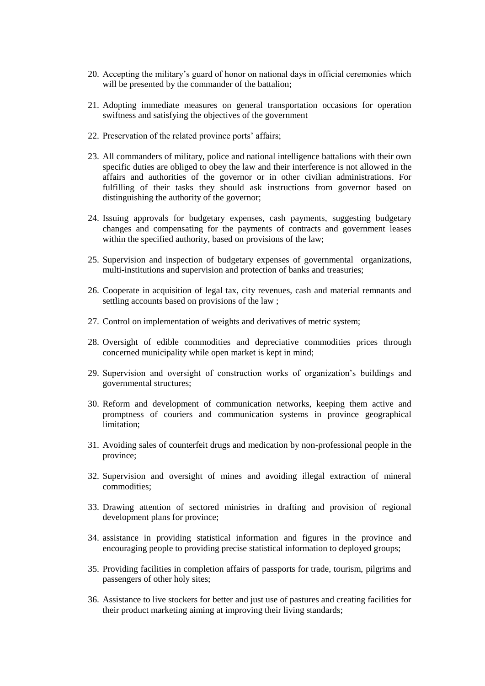- 20. Accepting the military's guard of honor on national days in official ceremonies which will be presented by the commander of the battalion;
- 21. Adopting immediate measures on general transportation occasions for operation swiftness and satisfying the objectives of the government
- 22. Preservation of the related province ports' affairs;
- 23. All commanders of military, police and national intelligence battalions with their own specific duties are obliged to obey the law and their interference is not allowed in the affairs and authorities of the governor or in other civilian administrations. For fulfilling of their tasks they should ask instructions from governor based on distinguishing the authority of the governor;
- 24. Issuing approvals for budgetary expenses, cash payments, suggesting budgetary changes and compensating for the payments of contracts and government leases within the specified authority, based on provisions of the law;
- 25. Supervision and inspection of budgetary expenses of governmental organizations, multi-institutions and supervision and protection of banks and treasuries;
- 26. Cooperate in acquisition of legal tax, city revenues, cash and material remnants and settling accounts based on provisions of the law ;
- 27. Control on implementation of weights and derivatives of metric system;
- 28. Oversight of edible commodities and depreciative commodities prices through concerned municipality while open market is kept in mind;
- 29. Supervision and oversight of construction works of organization's buildings and governmental structures;
- 30. Reform and development of communication networks, keeping them active and promptness of couriers and communication systems in province geographical limitation;
- 31. Avoiding sales of counterfeit drugs and medication by non-professional people in the province;
- 32. Supervision and oversight of mines and avoiding illegal extraction of mineral commodities;
- 33. Drawing attention of sectored ministries in drafting and provision of regional development plans for province;
- 34. assistance in providing statistical information and figures in the province and encouraging people to providing precise statistical information to deployed groups;
- 35. Providing facilities in completion affairs of passports for trade, tourism, pilgrims and passengers of other holy sites;
- 36. Assistance to live stockers for better and just use of pastures and creating facilities for their product marketing aiming at improving their living standards;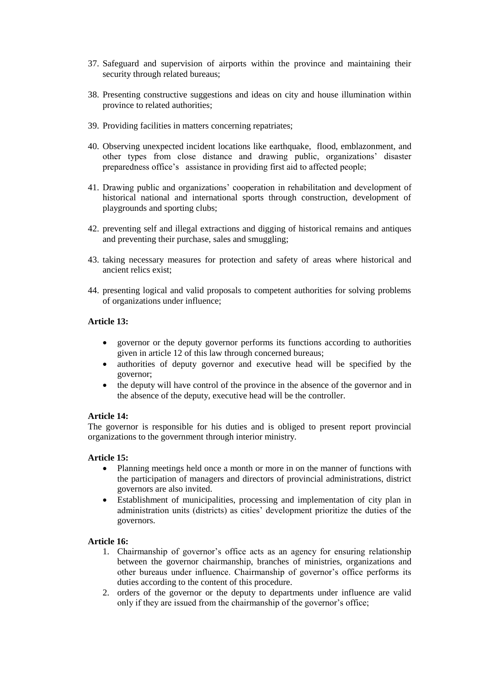- 37. Safeguard and supervision of airports within the province and maintaining their security through related bureaus;
- 38. Presenting constructive suggestions and ideas on city and house illumination within province to related authorities;
- 39. Providing facilities in matters concerning repatriates;
- 40. Observing unexpected incident locations like earthquake, flood, emblazonment, and other types from close distance and drawing public, organizations' disaster preparedness office's assistance in providing first aid to affected people;
- 41. Drawing public and organizations' cooperation in rehabilitation and development of historical national and international sports through construction, development of playgrounds and sporting clubs;
- 42. preventing self and illegal extractions and digging of historical remains and antiques and preventing their purchase, sales and smuggling;
- 43. taking necessary measures for protection and safety of areas where historical and ancient relics exist;
- 44. presenting logical and valid proposals to competent authorities for solving problems of organizations under influence;

#### **Article 13:**

- governor or the deputy governor performs its functions according to authorities given in article 12 of this law through concerned bureaus;
- authorities of deputy governor and executive head will be specified by the governor;
- the deputy will have control of the province in the absence of the governor and in the absence of the deputy, executive head will be the controller.

#### **Article 14:**

The governor is responsible for his duties and is obliged to present report provincial organizations to the government through interior ministry.

#### **Article 15:**

- Planning meetings held once a month or more in on the manner of functions with the participation of managers and directors of provincial administrations, district governors are also invited.
- Establishment of municipalities, processing and implementation of city plan in administration units (districts) as cities' development prioritize the duties of the governors.

#### **Article 16:**

- 1. Chairmanship of governor's office acts as an agency for ensuring relationship between the governor chairmanship, branches of ministries, organizations and other bureaus under influence. Chairmanship of governor's office performs its duties according to the content of this procedure.
- 2. orders of the governor or the deputy to departments under influence are valid only if they are issued from the chairmanship of the governor's office;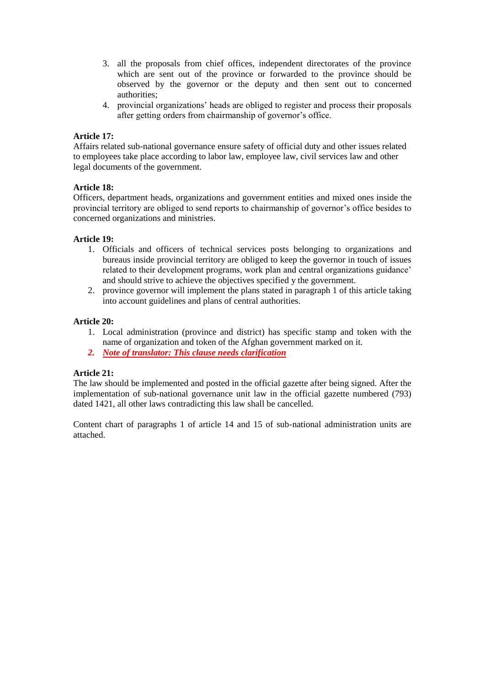- 3. all the proposals from chief offices, independent directorates of the province which are sent out of the province or forwarded to the province should be observed by the governor or the deputy and then sent out to concerned authorities;
- 4. provincial organizations' heads are obliged to register and process their proposals after getting orders from chairmanship of governor's office.

#### **Article 17:**

Affairs related sub-national governance ensure safety of official duty and other issues related to employees take place according to labor law, employee law, civil services law and other legal documents of the government.

#### **Article 18:**

Officers, department heads, organizations and government entities and mixed ones inside the provincial territory are obliged to send reports to chairmanship of governor's office besides to concerned organizations and ministries.

#### **Article 19:**

- 1. Officials and officers of technical services posts belonging to organizations and bureaus inside provincial territory are obliged to keep the governor in touch of issues related to their development programs, work plan and central organizations guidance' and should strive to achieve the objectives specified y the government.
- 2. province governor will implement the plans stated in paragraph 1 of this article taking into account guidelines and plans of central authorities.

#### **Article 20:**

- 1. Local administration (province and district) has specific stamp and token with the name of organization and token of the Afghan government marked on it.
- *2. Note of translator: This clause needs clarification*

#### **Article 21:**

The law should be implemented and posted in the official gazette after being signed. After the implementation of sub-national governance unit law in the official gazette numbered (793) dated 1421, all other laws contradicting this law shall be cancelled.

Content chart of paragraphs 1 of article 14 and 15 of sub-national administration units are attached.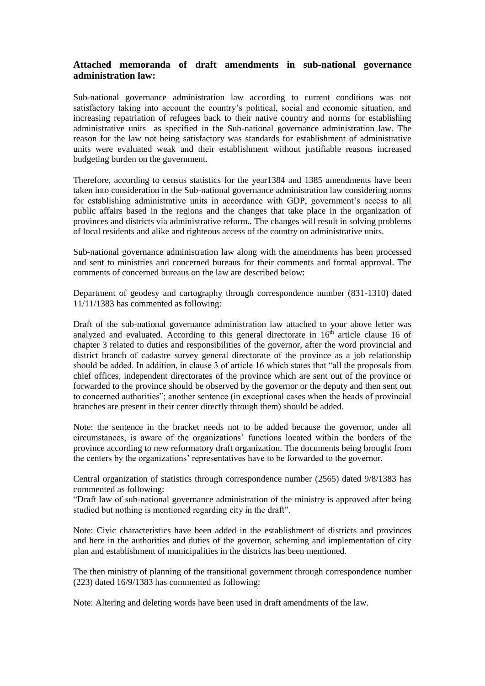#### **Attached memoranda of draft amendments in sub-national governance administration law:**

Sub-national governance administration law according to current conditions was not satisfactory taking into account the country's political, social and economic situation, and increasing repatriation of refugees back to their native country and norms for establishing administrative units as specified in the Sub-national governance administration law. The reason for the law not being satisfactory was standards for establishment of administrative units were evaluated weak and their establishment without justifiable reasons increased budgeting burden on the government.

Therefore, according to census statistics for the year1384 and 1385 amendments have been taken into consideration in the Sub-national governance administration law considering norms for establishing administrative units in accordance with GDP, government's access to all public affairs based in the regions and the changes that take place in the organization of provinces and districts via administrative reform.. The changes will result in solving problems of local residents and alike and righteous access of the country on administrative units.

Sub-national governance administration law along with the amendments has been processed and sent to ministries and concerned bureaus for their comments and formal approval. The comments of concerned bureaus on the law are described below:

Department of geodesy and cartography through correspondence number (831-1310) dated 11/11/1383 has commented as following:

Draft of the sub-national governance administration law attached to your above letter was analyzed and evaluated. According to this general directorate in  $16<sup>th</sup>$  article clause 16 of chapter 3 related to duties and responsibilities of the governor, after the word provincial and district branch of cadastre survey general directorate of the province as a job relationship should be added. In addition, in clause 3 of article 16 which states that "all the proposals from chief offices, independent directorates of the province which are sent out of the province or forwarded to the province should be observed by the governor or the deputy and then sent out to concerned authorities"; another sentence (in exceptional cases when the heads of provincial branches are present in their center directly through them) should be added.

Note: the sentence in the bracket needs not to be added because the governor, under all circumstances, is aware of the organizations' functions located within the borders of the province according to new reformatory draft organization. The documents being brought from the centers by the organizations' representatives have to be forwarded to the governor.

Central organization of statistics through correspondence number (2565) dated 9/8/1383 has commented as following:

"Draft law of sub-national governance administration of the ministry is approved after being studied but nothing is mentioned regarding city in the draft".

Note: Civic characteristics have been added in the establishment of districts and provinces and here in the authorities and duties of the governor, scheming and implementation of city plan and establishment of municipalities in the districts has been mentioned.

The then ministry of planning of the transitional government through correspondence number (223) dated 16/9/1383 has commented as following:

Note: Altering and deleting words have been used in draft amendments of the law.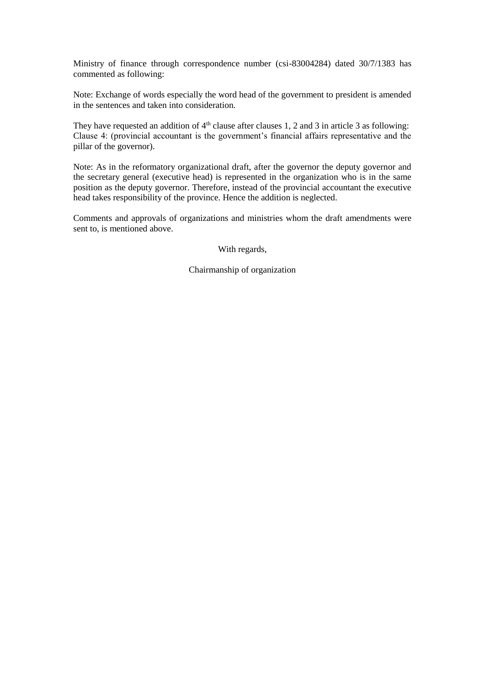Ministry of finance through correspondence number (csi-83004284) dated 30/7/1383 has commented as following:

Note: Exchange of words especially the word head of the government to president is amended in the sentences and taken into consideration.

They have requested an addition of  $4<sup>th</sup>$  clause after clauses 1, 2 and 3 in article 3 as following: Clause 4: (provincial accountant is the government's financial affairs representative and the pillar of the governor).

Note: As in the reformatory organizational draft, after the governor the deputy governor and the secretary general (executive head) is represented in the organization who is in the same position as the deputy governor. Therefore, instead of the provincial accountant the executive head takes responsibility of the province. Hence the addition is neglected.

Comments and approvals of organizations and ministries whom the draft amendments were sent to, is mentioned above.

With regards,

Chairmanship of organization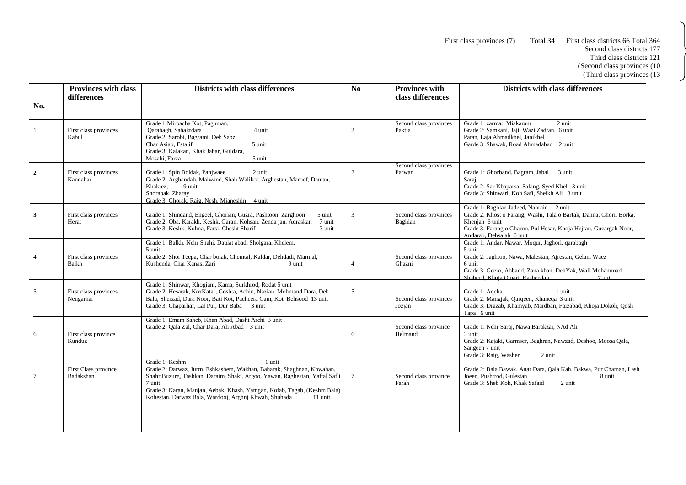First class provinces (7) Total 34 First class districts 66 Total 364

J

| No.             | <b>Provinces with class</b><br>differences | <b>Districts with class differences</b>                                                                                                                                                                                                                                                                                                    | N <sub>0</sub> | <b>Provinces with</b><br>class differences | <b>Districts with class differences</b>                                                                                                                                                                                                           |
|-----------------|--------------------------------------------|--------------------------------------------------------------------------------------------------------------------------------------------------------------------------------------------------------------------------------------------------------------------------------------------------------------------------------------------|----------------|--------------------------------------------|---------------------------------------------------------------------------------------------------------------------------------------------------------------------------------------------------------------------------------------------------|
|                 | First class provinces<br>Kabul             | Grade 1: Mirbacha Kot, Paghman,<br>4 unit<br>Oarabagh, Sahakrdara<br>Grade 2: Sarobi, Bagrami, Deh Sabz,<br>Char Asiab, Estalif<br>5 unit<br>Grade 3: Kalakan, Khak Jabar, Guldara,<br>Mosahi, Farza<br>5 unit                                                                                                                             | 2              | Second class provinces<br>Paktia           | Grade 1: zarmat, Miakaram<br>2 unit<br>Grade 2: Samkani, Jaji, Wazi Zadran, 6 unit<br>Patan, Laja Ahmadkhel, Janikhel<br>Garde 3: Shawak, Road Ahmadabad 2 unit                                                                                   |
| $\overline{2}$  | First class provinces<br>Kandahar          | Grade 1: Spin Boldak, Panjwaee<br>2 unit<br>Grade 2: Arghandab, Maiwand, Shah Walikot, Arghestan, Maroof, Daman,<br>9 unit<br>Khakrez,<br>Shorabak, Zharay<br>Grade 3: Ghorak, Raig, Nesh, Mianeshin 4 unit                                                                                                                                | $\overline{c}$ | Second class provinces<br>Parwan           | Grade 1: Ghorband, Bagram, Jabal 3 unit<br>Sarai<br>Grade 2: Sar Khaparsa, Salang, Syed Khel 3 unit<br>Grade 3: Shinwari, Koh Safi, Sheikh Ali 3 unit                                                                                             |
| $\mathbf{3}$    | First class provinces<br>Herat             | Grade 1: Shindand, Engeel, Ghorian, Guzra, Pashtoon, Zarghoon<br>5 unit<br>Grade 2: Oba, Karakh, Keshk, Garan, Kohsan, Zenda jan, Adraskan<br>7 unit<br>Grade 3: Keshk, Kohna, Farsi, Chesht Sharif<br>3 unit                                                                                                                              | 3              | Second class provinces<br>Baghlan          | Grade 1: Baghlan Jadeed, Nahrain 2 unit<br>Grade 2: Khost o Farang, Washi, Tala o Barfak, Dahna, Ghori, Borka,<br>Khenjan 6 unit<br>Grade 3: Farang o Gharoo, Pul Hesar, Khoja Hejran, Guzargah Noor,<br>Andarab, Dehsalah 6 unit                 |
| $\overline{4}$  | First class provinces<br>Balkh             | Grade 1: Balkh, Nehr Shahi, Daulat abad, Sholgara, Khelem,<br>5 unit<br>Grade 2: Shor Teepa, Char bolak, Chemtal, Kaldar, Dehdadi, Marmal,<br>Kushenda, Char Kanas, Zari<br>9 unit                                                                                                                                                         |                | Second class provinces<br>Ghazni           | Grade 1: Andar, Nawar, Moqur, Jaghori, qarabagh<br>5 unit<br>Grade 2: Jaghtoo, Nawa, Malestan, Ajrestan, Gelan, Waez<br>6 unit<br>Grade 3: Geero, Abband, Zana khan, DehYak, Wali Mohammad<br>Shaheed, Khoja Omari, Rasheedan<br>$7 \text{ unit}$ |
| 5               | First class provinces<br>Nengarhar         | Grade 1: Shinwar, Khogiani, Kama, Surkhrod, Rodat 5 unit<br>Grade 2: Hesarak, KozKatar, Goshta, Achin, Nazian, Mohmand Dara, Deh<br>Bala, Sherzad, Dara Noor, Bati Kot, Pacheera Gam, Kot, Behsood 13 unit<br>Grade 3: Chaparhar, Lal Pur, Dur Baba 3 unit                                                                                 | 5              | Second class provinces<br>Jozjan           | Grade 1: Agcha<br>1 unit<br>Grade 2: Mangjak, Qarqeen, Khaneqa 3 unit<br>Grade 3: Drazab, Khamyab, Mardban, Faizabad, Khoja Dokoh, Qosh<br>Tapa 6 unit                                                                                            |
| 6               | First class province<br>Kunduz             | Grade 1: Emam Saheb, Khan Abad, Dasht Archi 3 unit<br>Grade 2: Qala Zal, Char Dara, Ali Abad 3 unit                                                                                                                                                                                                                                        | 6              | Second class province<br>Helmand           | Grade 1: Nehr Saraj, Nawa Barakzai, NAd Ali<br>3 unit<br>Grade 2: Kajaki, Garmser, Baghran, Nawzad, Deshoo, Moosa Qala,<br>Sangeen 7 unit<br>Grade 3: Raig, Washer<br>$2$ unit                                                                    |
| $7\phantom{.0}$ | First Class province<br>Badakshan          | 1 unit<br>Grade 1: Keshm<br>Grade 2: Darwaz, Jurm, Eshkashem, Wakhan, Baharak, Shaghnan, Khwahan,<br>Shahr Buzurg, Tashkan, Daraim, Shaki, Argoo, Yawan, Raghestan, Yaftal Safli<br>7 unit<br>Grade 3: Karan, Manjan, Aebak, Khash, Yamgan, Kofab, Tagab, (Keshm Bala)<br>Kohestan, Darwaz Bala, Wardooj, Arghnj Khwah, Shuhada<br>11 unit | $\tau$         | Second class province<br>Farah             | Grade 2: Bala Bawak, Anar Dara, Qala Kah, Bakwa, Pur Chaman, Lash<br>Joeen, Pushtrod, Gulestan<br>8 unit<br>Grade 3: Sheb Koh, Khak Safaid<br>2 unit                                                                                              |